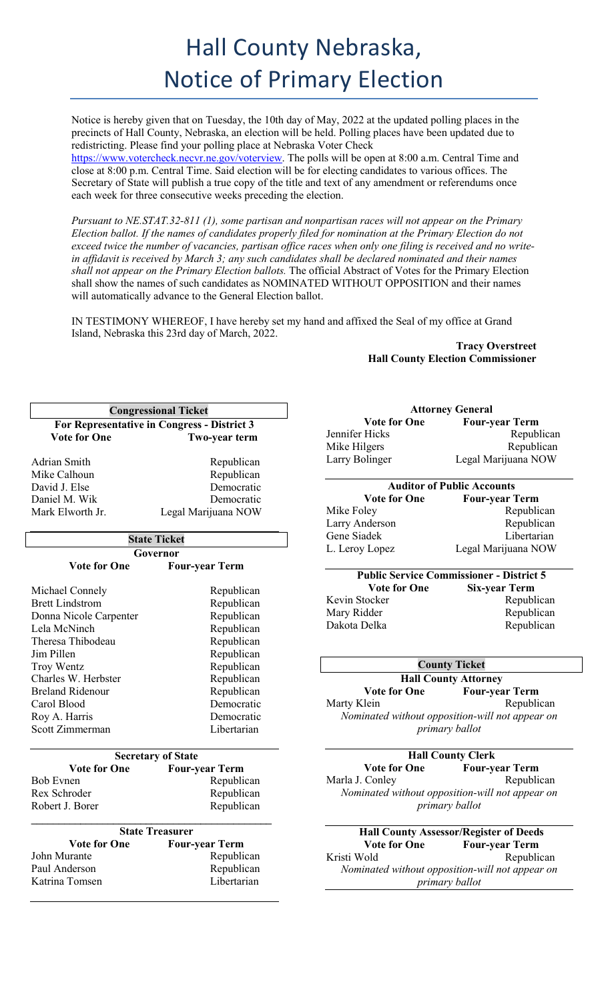Notice is hereby given that on Tuesday, the 10th day of May, 2022 at the updated polling places in the precincts of Hall County, Nebraska, an election will be held. Polling places have been updated due to redistricting. Please find your polling place at Nebraska Voter Check

https://www.votercheck.necvr.ne.gov/voterview. The polls will be open at 8:00 a.m. Central Time and close at 8:00 p.m. Central Time. Said election will be for electing candidates to various offices. The Secretary of State will publish a true copy of the title and text of any amendment or referendums once each week for three consecutive weeks preceding the election.

*Pursuant to NE.STAT.32-811 (1), some partisan and nonpartisan races will not appear on the Primary Election ballot. If the names of candidates properly filed for nomination at the Primary Election do not exceed twice the number of vacancies, partisan office races when only one filing is received and no writein affidavit is received by March 3; any such candidates shall be declared nominated and their names shall not appear on the Primary Election ballots.* The official Abstract of Votes for the Primary Election shall show the names of such candidates as NOMINATED WITHOUT OPPOSITION and their names will automatically advance to the General Election ballot.

IN TESTIMONY WHEREOF, I have hereby set my hand and affixed the Seal of my office at Grand Island, Nebraska this 23rd day of March, 2022.

**Tracy Overstreet Hall County Election Commissioner**

| <b>Congressional Ticket</b> |                                             |  |  |
|-----------------------------|---------------------------------------------|--|--|
|                             | For Representative in Congress - District 3 |  |  |
| <b>Vote for One</b>         | Two-year term                               |  |  |
| Adrian Smith                | Republican                                  |  |  |
| Mike Calhoun                | Republican                                  |  |  |
| David J. Else               | Democratic                                  |  |  |
| Daniel M. Wik               | Democratic                                  |  |  |
| Mark Elworth Jr.            | Legal Marijuana NOW                         |  |  |
|                             | <b>State Ticket</b>                         |  |  |
|                             | Governor                                    |  |  |
| <b>Vote for One</b>         | <b>Four-year Term</b>                       |  |  |
| Michael Connely             | Republican                                  |  |  |
| <b>Brett Lindstrom</b>      | Republican                                  |  |  |
| Donna Nicole Carpenter      | Republican                                  |  |  |
| Lela McNinch                | Republican                                  |  |  |
| Theresa Thibodeau           | Republican                                  |  |  |
| Jim Pillen                  | Republican                                  |  |  |
| Troy Wentz                  | Republican                                  |  |  |
| Charles W. Herbster         | Republican                                  |  |  |
| <b>Breland Ridenour</b>     | Republican                                  |  |  |
| Carol Blood                 | Democratic                                  |  |  |
| Roy A. Harris               | Democratic                                  |  |  |
| Scott Zimmerman             | Libertarian                                 |  |  |
|                             | <b>Secretary of State</b>                   |  |  |
| <b>Vote for One</b>         | <b>Four-year Term</b>                       |  |  |
| <b>Bob Evnen</b>            | Republican                                  |  |  |
| Rex Schroder                | Republican                                  |  |  |
| Robert J. Borer             | Republican                                  |  |  |
|                             | <b>State Treasurer</b>                      |  |  |
| <b>Vote for One</b>         | <b>Four-year Term</b>                       |  |  |
| John Murante                | Republican                                  |  |  |
| Paul Anderson               | Republican                                  |  |  |
| Katrina Tomsen              | Libertarian                                 |  |  |

| <b>Attorney General</b> |                                                 |  |
|-------------------------|-------------------------------------------------|--|
| <b>Vote for One</b>     | <b>Four-year Term</b>                           |  |
| Jennifer Hicks          | Republican                                      |  |
| Mike Hilgers            | Republican                                      |  |
| Larry Bolinger          | Legal Marijuana NOW                             |  |
|                         | <b>Auditor of Public Accounts</b>               |  |
| <b>Vote for One</b>     | <b>Four-year Term</b>                           |  |
| Mike Foley              | Republican                                      |  |
| Larry Anderson          | Republican                                      |  |
| Gene Siadek             | Libertarian                                     |  |
| L. Leroy Lopez          | Legal Marijuana NOW                             |  |
|                         | <b>Public Service Commissioner - District 5</b> |  |
| <b>Vote for One</b>     | <b>Six-year Term</b>                            |  |
| Kevin Stocker           | Republican                                      |  |
| Mary Ridder             | Republican                                      |  |
| Dakota Delka            | Republican                                      |  |
|                         |                                                 |  |
|                         | <b>County Ticket</b>                            |  |
|                         | <b>Hall County Attorney</b>                     |  |
| <b>Vote for One</b>     | <b>Four-year Term</b>                           |  |
| Marty Klein             | Republican                                      |  |
|                         | Nominated without opposition-will not appear on |  |
|                         | primary ballot                                  |  |
|                         | <b>Hall County Clerk</b>                        |  |
| <b>Vote for One</b>     | <b>Four-year Term</b>                           |  |
| Marla J. Conley         | Republican                                      |  |
|                         | Nominated without opposition-will not appear on |  |
|                         | primary ballot                                  |  |
|                         | <b>Hall County Assessor/Register of Deeds</b>   |  |
| <b>Vote for One</b>     | <b>Four-year Term</b>                           |  |
| Kristi Wold             | Republican                                      |  |
|                         | Nominated without opposition-will not appear on |  |

*primary ballot*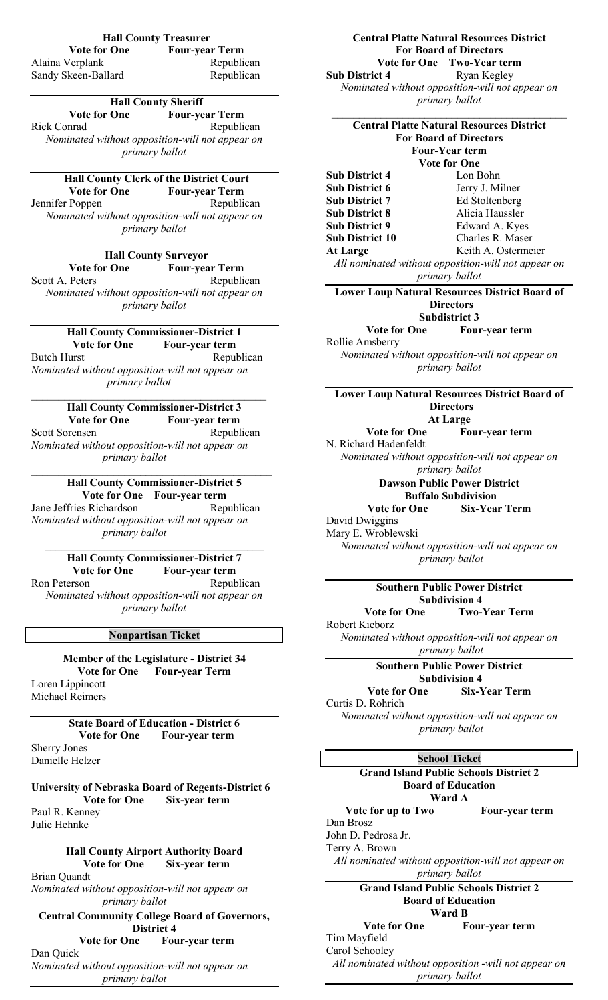| <b>Hall County Treasurer</b>                                                  | <b>Central Platte Natural Resources District</b>                      |
|-------------------------------------------------------------------------------|-----------------------------------------------------------------------|
| <b>Vote for One</b><br><b>Four-year Term</b><br>Republican<br>Alaina Verplank | <b>For Board of Directors</b><br>Vote for One Two-Year term           |
| Republican<br>Sandy Skeen-Ballard                                             | <b>Sub District 4</b><br>Ryan Kegley                                  |
|                                                                               | Nominated without opposition-will not appear on                       |
| <b>Hall County Sheriff</b>                                                    | primary ballot                                                        |
| <b>Vote for One</b><br><b>Four-year Term</b>                                  |                                                                       |
| Rick Conrad<br>Republican                                                     | <b>Central Platte Natural Resources District</b>                      |
| Nominated without opposition-will not appear on                               | <b>For Board of Directors</b>                                         |
| primary ballot                                                                | <b>Four-Year term</b>                                                 |
|                                                                               | <b>Vote for One</b>                                                   |
| Hall County Clerk of the District Court                                       | <b>Sub District 4</b><br>Lon Bohn                                     |
| <b>Vote for One</b><br><b>Four-year Term</b>                                  | Sub District 6<br>Jerry J. Milner                                     |
| Republican<br>Jennifer Poppen                                                 | <b>Sub District 7</b><br>Ed Stoltenberg                               |
| Nominated without opposition-will not appear on                               | Alicia Haussler<br><b>Sub District 8</b>                              |
| primary ballot                                                                | <b>Sub District 9</b><br>Edward A. Kyes                               |
|                                                                               | <b>Sub District 10</b><br>Charles R. Maser<br>Keith A. Ostermeier     |
| <b>Hall County Surveyor</b>                                                   | <b>At Large</b>                                                       |
| <b>Vote for One</b><br><b>Four-year Term</b>                                  | All nominated without opposition-will not appear on<br>primary ballot |
| Scott A. Peters<br>Republican                                                 |                                                                       |
| Nominated without opposition-will not appear on                               | <b>Lower Loup Natural Resources District Board of</b>                 |
| primary ballot                                                                | <b>Directors</b>                                                      |
|                                                                               | <b>Subdistrict 3</b><br><b>Vote for One</b>                           |
| <b>Hall County Commissioner-District 1</b>                                    | Four-year term<br>Rollie Amsberry                                     |
| <b>Vote for One</b><br>Four-year term                                         | Nominated without opposition-will not appear on                       |
| Republican<br><b>Butch Hurst</b>                                              | primary ballot                                                        |
| Nominated without opposition-will not appear on<br>primary ballot             |                                                                       |
|                                                                               | <b>Lower Loup Natural Resources District Board of</b>                 |
| <b>Hall County Commissioner-District 3</b>                                    | <b>Directors</b>                                                      |
| <b>Vote for One</b><br>Four-year term                                         | <b>At Large</b>                                                       |
| <b>Scott Sorensen</b><br>Republican                                           | <b>Vote for One</b><br>Four-year term                                 |
| Nominated without opposition-will not appear on                               | N. Richard Hadenfeldt                                                 |
| primary ballot                                                                | Nominated without opposition-will not appear on                       |
|                                                                               | primary ballot                                                        |
| <b>Hall County Commissioner-District 5</b>                                    | <b>Dawson Public Power District</b>                                   |
| Vote for One Four-year term                                                   | <b>Buffalo Subdivision</b>                                            |
| Jane Jeffries Richardson<br>Republican                                        | <b>Six-Year Term</b><br><b>Vote for One</b>                           |
| Nominated without opposition-will not appear on                               | David Dwiggins                                                        |
| primary ballot                                                                | Mary E. Wroblewski                                                    |
|                                                                               | Nominated without opposition-will not appear on                       |
| <b>Hall County Commissioner-District 7</b><br><b>Vote for One</b>             | primary ballot                                                        |
| Four-year term<br>Ron Peterson<br>Republican                                  |                                                                       |
| Nominated without opposition-will not appear on                               | <b>Southern Public Power District</b>                                 |
| primary ballot                                                                | <b>Subdivision 4</b>                                                  |
|                                                                               | <b>Two-Year Term</b><br><b>Vote for One</b><br>Robert Kieborz         |
| <b>Nonpartisan Ticket</b>                                                     | Nominated without opposition-will not appear on                       |
|                                                                               | primary ballot                                                        |
| <b>Member of the Legislature - District 34</b>                                |                                                                       |
| <b>Vote for One</b><br><b>Four-year Term</b>                                  | <b>Southern Public Power District</b><br><b>Subdivision 4</b>         |
| Loren Lippincott                                                              | <b>Vote for One</b><br><b>Six-Year Term</b>                           |
| <b>Michael Reimers</b>                                                        | Curtis D. Rohrich                                                     |
|                                                                               | Nominated without opposition-will not appear on                       |
| <b>State Board of Education - District 6</b>                                  | primary ballot                                                        |
| <b>Vote for One</b><br>Four-year term                                         |                                                                       |
| <b>Sherry Jones</b>                                                           | <b>School Ticket</b>                                                  |
| Danielle Helzer                                                               | <b>Grand Island Public Schools District 2</b>                         |
|                                                                               | <b>Board of Education</b>                                             |
| University of Nebraska Board of Regents-District 6                            | Ward A                                                                |
| <b>Vote for One</b><br>Six-year term                                          | Vote for up to Two<br>Four-year term                                  |
| Paul R. Kenney<br>Julie Hehnke                                                | Dan Brosz                                                             |
|                                                                               | John D. Pedrosa Jr.                                                   |
| <b>Hall County Airport Authority Board</b>                                    | Terry A. Brown                                                        |
|                                                                               |                                                                       |

*All nominated without opposition-will not appear on primary ballot* **Grand Island Public Schools District 2 Board of Education Ward B Vote for One Four-year term**

*All nominated without opposition -will not appear on primary ballot*

Tim Mayfield Carol Schooley

## **Hall County Airport Authority Board<br>Vote for One Six-year term Six-year term**

Brian Quandt

*Nominated without opposition-will not appear on primary ballot*

# **Central Community College Board of Governors, District 4**<br>Vote for One Fou

## **Four-year term**

Dan Quick *Nominated without opposition-will not appear on primary ballot*